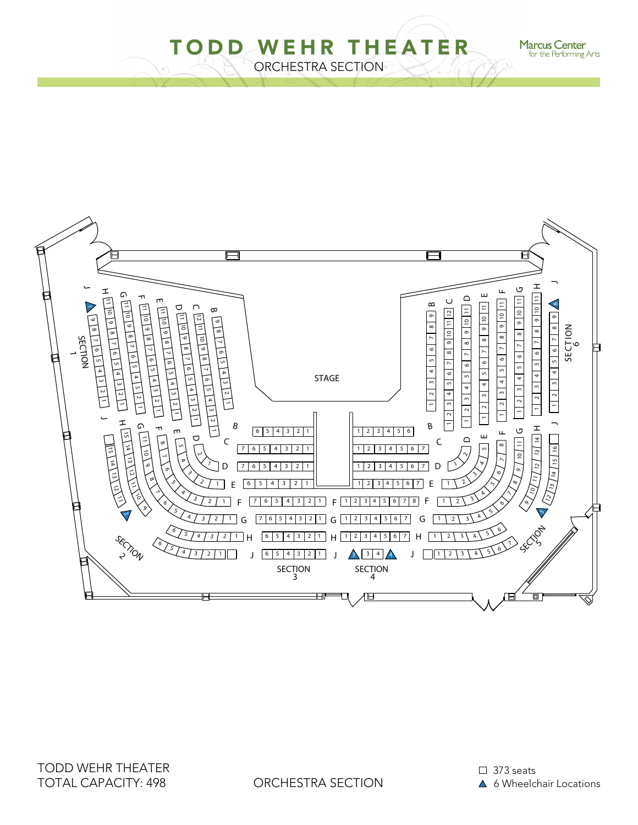ORCHESTRA SECTION TODD WEHR THEATER



**Marcus Center**<br>for the Performing Arts